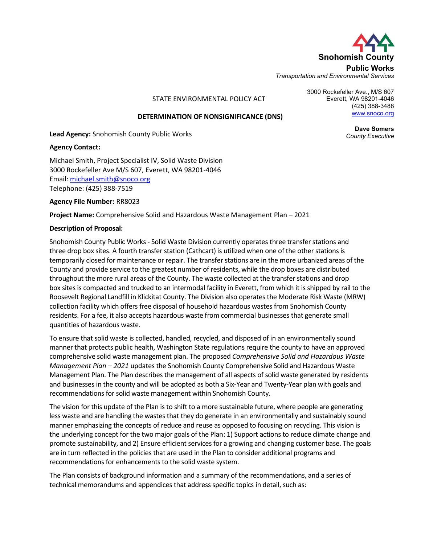

3000 Rockefeller Ave., M/S 607 Everett, WA 98201-4046

Public Works Transportation and Environmental Services

STATE ENVIRONMENTAL POLICY ACT

#### DETERMINATION OF NONSIGNIFICANCE (DNS)

Lead Agency: Snohomish County Public Works

Agency Contact:

Michael Smith, Project Specialist IV, Solid Waste Division 3000 Rockefeller Ave M/S 607, Everett, WA 98201-4046 Email: michael.smith@snoco.org Telephone: (425) 388-7519

#### Agency File Number: RR8023

Project Name: Comprehensive Solid and Hazardous Waste Management Plan – 2021

#### Description of Proposal:

Snohomish County Public Works - Solid Waste Division currently operates three transfer stations and three drop box sites. A fourth transfer station (Cathcart) is utilized when one of the other stations is temporarily closed for maintenance or repair. The transfer stations are in the more urbanized areas of the County and provide service to the greatest number of residents, while the drop boxes are distributed throughout the more rural areas of the County. The waste collected at the transfer stations and drop box sites is compacted and trucked to an intermodal facility in Everett, from which it is shipped by rail to the Roosevelt Regional Landfill in Klickitat County. The Division also operates the Moderate Risk Waste (MRW) collection facility which offers free disposal of household hazardous wastes from Snohomish County residents. For a fee, it also accepts hazardous waste from commercial businesses that generate small quantities of hazardous waste.

To ensure that solid waste is collected, handled, recycled, and disposed of in an environmentally sound manner that protects public health, Washington State regulations require the county to have an approved comprehensive solid waste management plan. The proposed Comprehensive Solid and Hazardous Waste Management Plan – 2021 updates the Snohomish County Comprehensive Solid and Hazardous Waste Management Plan. The Plan describes the management of all aspects of solid waste generated by residents and businesses in the county and will be adopted as both a Six-Year and Twenty-Year plan with goals and recommendations for solid waste management within Snohomish County.

The vision for this update of the Plan is to shift to a more sustainable future, where people are generating less waste and are handling the wastes that they do generate in an environmentally and sustainably sound manner emphasizing the concepts of reduce and reuse as opposed to focusing on recycling. This vision is the underlying concept for the two major goals of the Plan: 1) Support actions to reduce climate change and promote sustainability, and 2) Ensure efficient services for a growing and changing customer base. The goals are in turn reflected in the policies that are used in the Plan to consider additional programs and recommendations for enhancements to the solid waste system.

The Plan consists of background information and a summary of the recommendations, and a series of technical memorandums and appendices that address specific topics in detail, such as:

Dave Somers County Executive

(425) 388-3488 www.snoco.org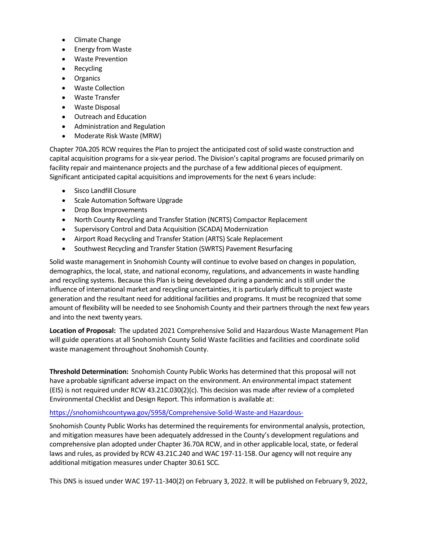- Climate Change
- Energy from Waste
- Waste Prevention
- Recycling
- Organics
- Waste Collection
- Waste Transfer
- Waste Disposal
- Outreach and Education
- Administration and Regulation
- Moderate Risk Waste (MRW)  $\bullet$

Chapter 70A.205 RCW requires the Plan to project the anticipated cost of solid waste construction and capital acquisition programs for a six-year period. The Division's capital programs are focused primarily on facility repair and maintenance projects and the purchase of a few additional pieces of equipment. Significant anticipated capital acquisitions and improvements for the next 6 years include:

- Sisco Landfill Closure
- Scale Automation Software Upgrade
- Drop Box Improvements
- North County Recycling and Transfer Station (NCRTS) Compactor Replacement
- Supervisory Control and Data Acquisition (SCADA) Modernization
- Airport Road Recycling and Transfer Station (ARTS) Scale Replacement
- Southwest Recycling and Transfer Station (SWRTS) Pavement Resurfacing  $\bullet$

Solid waste management in Snohomish County will continue to evolve based on changes in population, demographics, the local, state, and national economy, regulations, and advancements in waste handling and recycling systems. Because this Plan is being developed during a pandemic and is still under the influence of international market and recycling uncertainties, it is particularly difficult to project waste generation and the resultant need for additional facilities and programs. It must be recognized that some amount of flexibility will be needed to see Snohomish County and their partners through the next few years and into the next twenty years.

Location of Proposal: The updated 2021 Comprehensive Solid and Hazardous Waste Management Plan will guide operations at all Snohomish County Solid Waste facilities and facilities and coordinate solid waste management throughout Snohomish County.

Threshold Determination: Snohomish County Public Works has determined that this proposal will not have a probable significant adverse impact on the environment. An environmental impact statement (EIS) is not required under RCW 43.21C.030(2)(c). This decision was made after review of a completed Environmental Checklist and Design Report. This information is available at:

#### https://snohomishcountywa.gov/5958/Comprehensive-Solid-Waste-and Hazardous-

Snohomish County Public Works has determined the requirements for environmental analysis, protection, and mitigation measures have been adequately addressed in the County's development regulations and comprehensive plan adopted under Chapter 36.70A RCW, and in other applicable local, state, or federal laws and rules, as provided by RCW 43.21C.240 and WAC 197-11-158. Our agency will not require any additional mitigation measures under Chapter 30.61 SCC.

This DNS is issued under WAC 197-11-340(2) on February 3, 2022. It will be published on February 9, 2022,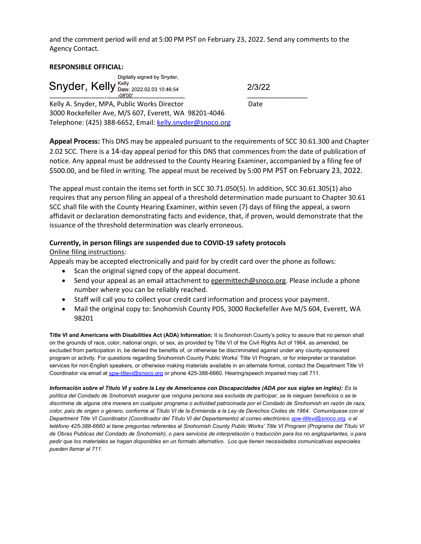and the comment period will end at 5:00 PM PST on February 23, 2022. Send any comments to the Agency Contact.

#### RESPONSIBLE OFFICIAL:

| Digitally signed by Snyder,<br>Snyder, Kelly Bate: 2022.02.03 10:46:54<br>-08'00' | 2/3/22 |  |
|-----------------------------------------------------------------------------------|--------|--|
| Kelly A. Snyder, MPA, Public Works Director                                       | Date   |  |
| 3000 Rockefeller Ave, M/S 607, Everett, WA 98201-4046                             |        |  |

Telephone: (425) 388-6652, Email: kelly.snyder@snoco.org

Appeal Process: This DNS may be appealed pursuant to the requirements of SCC 30.61.300 and Chapter 2.02 SCC. There is a 14-day appeal period for this DNS that commences from the date of publication of notice. Any appeal must be addressed to the County Hearing Examiner, accompanied by a filing fee of \$500.00, and be filed in writing. The appeal must be received by 5:00 PM PST on February 23, 2022.

The appeal must contain the items set forth in SCC 30.71.050(5). In addition, SCC 30.61.305(1) also requires that any person filing an appeal of a threshold determination made pursuant to Chapter 30.61 SCC shall file with the County Hearing Examiner, within seven (7) days of filing the appeal, a sworn affidavit or declaration demonstrating facts and evidence, that, if proven, would demonstrate that the issuance of the threshold determination was clearly erroneous.

#### Currently, in person filings are suspended due to COVID-19 safety protocols

#### Online filing instructions:

Appeals may be accepted electronically and paid for by credit card over the phone as follows:

- Scan the original signed copy of the appeal document.
- Send your appeal as an email attachment to epermittech@snoco.org. Please include a phone number where you can be reliably reached.
- Staff will call you to collect your credit card information and process your payment.
- Mail the original copy to: Snohomish County PDS, 3000 Rockefeller Ave M/S 604, Everett, WA 98201

Title VI and Americans with Disabilities Act (ADA) Information: It is Snohomish County's policy to assure that no person shall on the grounds of race, color, national origin, or sex, as provided by Title VI of the Civil Rights Act of 1964, as amended, be excluded from participation in, be denied the benefits of, or otherwise be discriminated against under any county-sponsored program or activity. For questions regarding Snohomish County Public Works' Title VI Program, or for interpreter or translation services for non-English speakers, or otherwise making materials available in an alternate format, contact the Department Title VI Coordinator via email at spw-titlevi@snoco.org or phone 425-388-6660. Hearing/speech impaired may call 711.

Información sobre el Titulo VI y sobre la Ley de Americanos con Discapacidades (ADA por sus siglas en inglés): Es la política del Condado de Snohomish asegurar que ninguna persona sea excluida de participar, se le nieguen beneficios o se le discrimine de alguna otra manera en cualquier programa o actividad patrocinada por el Condado de Snohomish en razón de raza, color, país de origen o género, conforme al Título VI de la Enmienda a la Ley de Derechos Civiles de 1964. Comuníquese con el Department Title VI Coordinator (Coordinador del Título VI del Departamento) al correo electrónico spw-titlevi@snoco.org, o al teléfono 425-388-6660 si tiene preguntas referentes al Snohomish County Public Works' Title VI Program (Programa del Título VI de Obras Publicas del Condado de Snohomish), o para servicios de interpretación o traducción para los no angloparlantes, o para pedir que los materiales se hagan disponibles en un formato alternativo. Los que tienen necesidades comunicativas especiales pueden llamar al 711.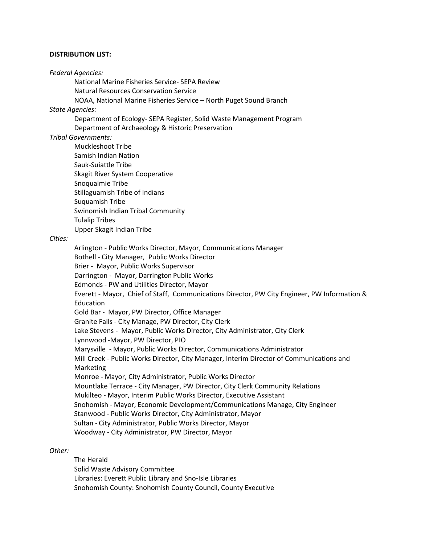#### DISTRIBUTION LIST:

#### Federal Agencies:

National Marine Fisheries Service- SEPA Review

Natural Resources Conservation Service

NOAA, National Marine Fisheries Service – North Puget Sound Branch

#### State Agencies:

 Department of Ecology- SEPA Register, Solid Waste Management Program Department of Archaeology & Historic Preservation

#### Tribal Governments:

Muckleshoot Tribe Samish Indian Nation Sauk-Suiattle Tribe Skagit River System Cooperative Snoqualmie Tribe Stillaguamish Tribe of Indians Suquamish Tribe Swinomish Indian Tribal Community Tulalip Tribes Upper Skagit Indian Tribe

#### Cities:

Arlington - Public Works Director, Mayor, Communications Manager Bothell - City Manager, Public Works Director Brier - Mayor, Public Works Supervisor Darrington - Mayor, Darrington Public Works Edmonds - PW and Utilities Director, Mayor Everett - Mayor, Chief of Staff, Communications Director, PW City Engineer, PW Information & Education Gold Bar - Mayor, PW Director, Office Manager Granite Falls - City Manage, PW Director, City Clerk Lake Stevens - Mayor, Public Works Director, City Administrator, City Clerk Lynnwood -Mayor, PW Director, PIO Marysville - Mayor, Public Works Director, Communications Administrator Mill Creek - Public Works Director, City Manager, Interim Director of Communications and Marketing Monroe - Mayor, City Administrator, Public Works Director Mountlake Terrace - City Manager, PW Director, City Clerk Community Relations Mukilteo - Mayor, Interim Public Works Director, Executive Assistant Snohomish - Mayor, Economic Development/Communications Manage, City Engineer Stanwood - Public Works Director, City Administrator, Mayor Sultan - City Administrator, Public Works Director, Mayor Woodway - City Administrator, PW Director, Mayor

#### Other:

 The Herald Solid Waste Advisory Committee Libraries: Everett Public Library and Sno-Isle Libraries Snohomish County: Snohomish County Council, County Executive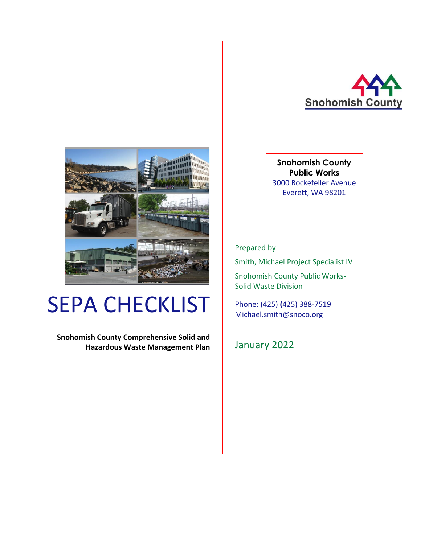



Prepared by:

Smith, Michael Project Specialist IV

Snohomish County Public Works-Solid Waste Division

Phone: (425) **(**425) 388-7519 Michael.smith@snoco.org

January 2022

# SEPA CHECKLIST

**Snohomish County Comprehensive Solid and Hazardous Waste Management Plan**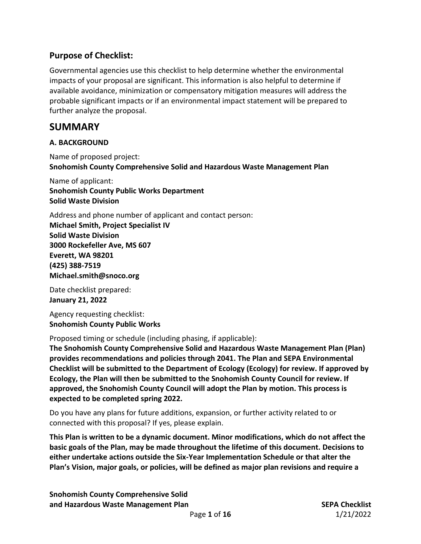## **Purpose of Checklist:**

Governmental agencies use this checklist to help determine whether the environmental impacts of your proposal are significant. This information is also helpful to determine if available avoidance, minimization or compensatory mitigation measures will address the probable significant impacts or if an environmental impact statement will be prepared to further analyze the proposal.

## **SUMMARY**

#### **A. BACKGROUND**

Name of proposed project: **Snohomish County Comprehensive Solid and Hazardous Waste Management Plan**

Name of applicant: **Snohomish County Public Works Department Solid Waste Division**

Address and phone number of applicant and contact person: **Michael Smith, Project Specialist IV Solid Waste Division 3000 Rockefeller Ave, MS 607 Everett, WA 98201 (425) 388-7519 Michael.smith@snoco.org**

Date checklist prepared: **January 21, 2022**

Agency requesting checklist: **Snohomish County Public Works** 

Proposed timing or schedule (including phasing, if applicable):

**The Snohomish County Comprehensive Solid and Hazardous Waste Management Plan (Plan) provides recommendations and policies through 2041. The Plan and SEPA Environmental Checklist will be submitted to the Department of Ecology (Ecology) for review. If approved by Ecology, the Plan will then be submitted to the Snohomish County Council for review. If approved, the Snohomish County Council will adopt the Plan by motion. This process is expected to be completed spring 2022.**

Do you have any plans for future additions, expansion, or further activity related to or connected with this proposal? If yes, please explain.

**This Plan is written to be a dynamic document. Minor modifications, which do not affect the basic goals of the Plan, may be made throughout the lifetime of this document. Decisions to either undertake actions outside the Six-Year Implementation Schedule or that alter the Plan's Vision, major goals, or policies, will be defined as major plan revisions and require a** 

**Snohomish County Comprehensive Solid and Hazardous Waste Management Plan SEPA Checklist** SEPA Checklist

Page **1** of **16** 1/21/2022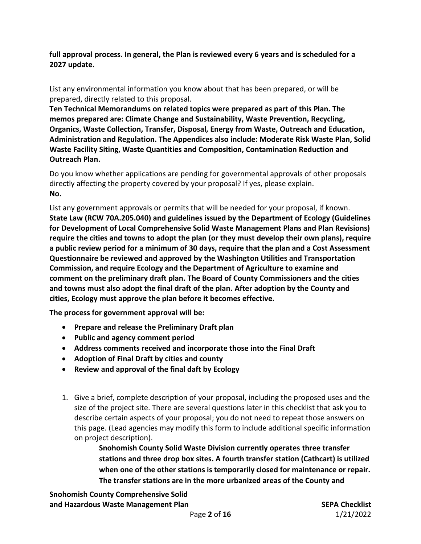**full approval process. In general, the Plan is reviewed every 6 years and is scheduled for a 2027 update.** 

List any environmental information you know about that has been prepared, or will be prepared, directly related to this proposal.

**Ten Technical Memorandums on related topics were prepared as part of this Plan. The memos prepared are: Climate Change and Sustainability, Waste Prevention, Recycling, Organics, Waste Collection, Transfer, Disposal, Energy from Waste, Outreach and Education, Administration and Regulation. The Appendices also include: Moderate Risk Waste Plan, Solid Waste Facility Siting, Waste Quantities and Composition, Contamination Reduction and Outreach Plan.**

Do you know whether applications are pending for governmental approvals of other proposals directly affecting the property covered by your proposal? If yes, please explain. **No.**

List any government approvals or permits that will be needed for your proposal, if known. **State Law (RCW 70A.205.040) and guidelines issued by the Department of Ecology (Guidelines for Development of Local Comprehensive Solid Waste Management Plans and Plan Revisions) require the cities and towns to adopt the plan (or they must develop their own plans), require a public review period for a minimum of 30 days, require that the plan and a Cost Assessment Questionnaire be reviewed and approved by the Washington Utilities and Transportation Commission, and require Ecology and the Department of Agriculture to examine and comment on the preliminary draft plan. The Board of County Commissioners and the cities and towns must also adopt the final draft of the plan. After adoption by the County and cities, Ecology must approve the plan before it becomes effective.**

**The process for government approval will be:**

- **Prepare and release the Preliminary Draft plan**
- **Public and agency comment period**
- **Address comments received and incorporate those into the Final Draft**
- **Adoption of Final Draft by cities and county**
- **Review and approval of the final daft by Ecology**
- 1. Give a brief, complete description of your proposal, including the proposed uses and the size of the project site. There are several questions later in this checklist that ask you to describe certain aspects of your proposal; you do not need to repeat those answers on this page. (Lead agencies may modify this form to include additional specific information on project description).

**Snohomish County Solid Waste Division currently operates three transfer stations and three drop box sites. A fourth transfer station (Cathcart) is utilized when one of the other stations is temporarily closed for maintenance or repair. The transfer stations are in the more urbanized areas of the County and**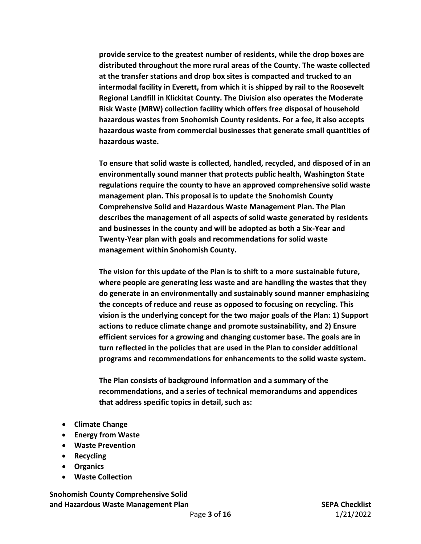**provide service to the greatest number of residents, while the drop boxes are distributed throughout the more rural areas of the County. The waste collected at the transfer stations and drop box sites is compacted and trucked to an intermodal facility in Everett, from which it is shipped by rail to the Roosevelt Regional Landfill in Klickitat County. The Division also operates the Moderate Risk Waste (MRW) collection facility which offers free disposal of household hazardous wastes from Snohomish County residents. For a fee, it also accepts hazardous waste from commercial businesses that generate small quantities of hazardous waste.**

**To ensure that solid waste is collected, handled, recycled, and disposed of in an environmentally sound manner that protects public health, Washington State regulations require the county to have an approved comprehensive solid waste management plan. This proposal is to update the Snohomish County Comprehensive Solid and Hazardous Waste Management Plan. The Plan describes the management of all aspects of solid waste generated by residents and businesses in the county and will be adopted as both a Six-Year and Twenty-Year plan with goals and recommendations for solid waste management within Snohomish County.** 

**The vision for this update of the Plan is to shift to a more sustainable future, where people are generating less waste and are handling the wastes that they do generate in an environmentally and sustainably sound manner emphasizing the concepts of reduce and reuse as opposed to focusing on recycling. This vision is the underlying concept for the two major goals of the Plan: 1) Support actions to reduce climate change and promote sustainability, and 2) Ensure efficient services for a growing and changing customer base. The goals are in turn reflected in the policies that are used in the Plan to consider additional programs and recommendations for enhancements to the solid waste system.** 

**The Plan consists of background information and a summary of the recommendations, and a series of technical memorandums and appendices that address specific topics in detail, such as:**

- **Climate Change**
- **Energy from Waste**
- **Waste Prevention**
- **Recycling**
- **Organics**
- **Waste Collection**

**Snohomish County Comprehensive Solid and Hazardous Waste Management Plan SEPA Checklist** SEPA Checklist

Page **3** of **16** 1/21/2022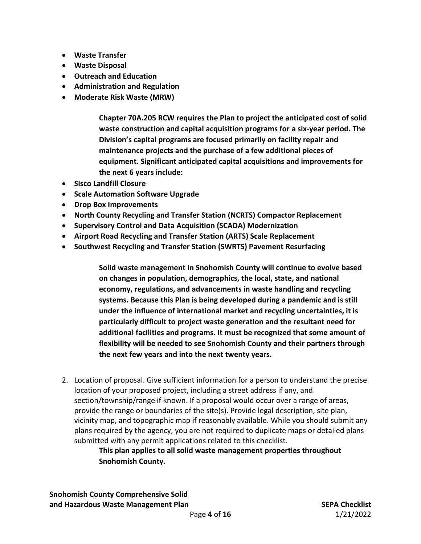- **Waste Transfer**
- **Waste Disposal**
- **Outreach and Education**
- **Administration and Regulation**
- **Moderate Risk Waste (MRW)**

**Chapter 70A.205 RCW requires the Plan to project the anticipated cost of solid waste construction and capital acquisition programs for a six-year period. The Division's capital programs are focused primarily on facility repair and maintenance projects and the purchase of a few additional pieces of equipment. Significant anticipated capital acquisitions and improvements for the next 6 years include:**

- **Sisco Landfill Closure**
- **Scale Automation Software Upgrade**
- **Drop Box Improvements**
- **North County Recycling and Transfer Station (NCRTS) Compactor Replacement**
- **Supervisory Control and Data Acquisition (SCADA) Modernization**
- **Airport Road Recycling and Transfer Station (ARTS) Scale Replacement**
- **Southwest Recycling and Transfer Station (SWRTS) Pavement Resurfacing**

**Solid waste management in Snohomish County will continue to evolve based on changes in population, demographics, the local, state, and national economy, regulations, and advancements in waste handling and recycling systems. Because this Plan is being developed during a pandemic and is still under the influence of international market and recycling uncertainties, it is particularly difficult to project waste generation and the resultant need for additional facilities and programs. It must be recognized that some amount of flexibility will be needed to see Snohomish County and their partners through the next few years and into the next twenty years.**

2. Location of proposal. Give sufficient information for a person to understand the precise location of your proposed project, including a street address if any, and section/township/range if known. If a proposal would occur over a range of areas, provide the range or boundaries of the site(s). Provide legal description, site plan, vicinity map, and topographic map if reasonably available. While you should submit any plans required by the agency, you are not required to duplicate maps or detailed plans submitted with any permit applications related to this checklist.

> **This plan applies to all solid waste management properties throughout Snohomish County.**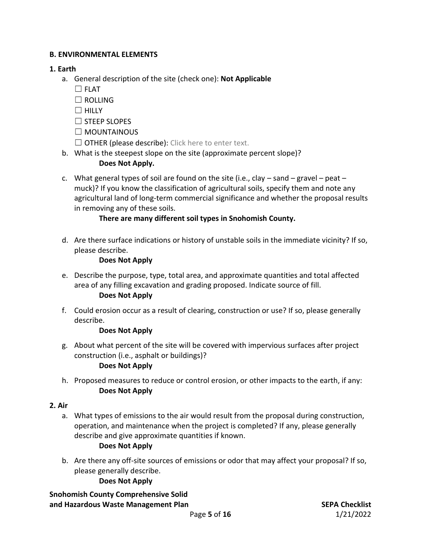#### **B. ENVIRONMENTAL ELEMENTS**

#### **1. Earth**

- a. General description of the site (check one): **Not Applicable**
	- ☐ FLAT
	- $\Box$  ROLLING
	- $\Box$  HILLY
	- ☐ STEEP SLOPES
	- ☐ MOUNTAINOUS
	- $\Box$  OTHER (please describe): Click here to enter text.
- b. What is the steepest slope on the site (approximate percent slope)?

#### **Does Not Apply.**

c. What general types of soil are found on the site (i.e., clay  $-$  sand  $-$  gravel  $-$  peat  $$ muck)? If you know the classification of agricultural soils, specify them and note any agricultural land of long-term commercial significance and whether the proposal results in removing any of these soils.

## **There are many different soil types in Snohomish County.**

d. Are there surface indications or history of unstable soils in the immediate vicinity? If so, please describe.

#### **Does Not Apply**

- e. Describe the purpose, type, total area, and approximate quantities and total affected area of any filling excavation and grading proposed. Indicate source of fill. **Does Not Apply**
- f. Could erosion occur as a result of clearing, construction or use? If so, please generally describe.

#### **Does Not Apply**

g. About what percent of the site will be covered with impervious surfaces after project construction (i.e., asphalt or buildings)?

#### **Does Not Apply**

h. Proposed measures to reduce or control erosion, or other impacts to the earth, if any: **Does Not Apply**

## **2. Air**

a. What types of emissions to the air would result from the proposal during construction, operation, and maintenance when the project is completed? If any, please generally describe and give approximate quantities if known.

## **Does Not Apply**

b. Are there any off-site sources of emissions or odor that may affect your proposal? If so, please generally describe.

## **Does Not Apply**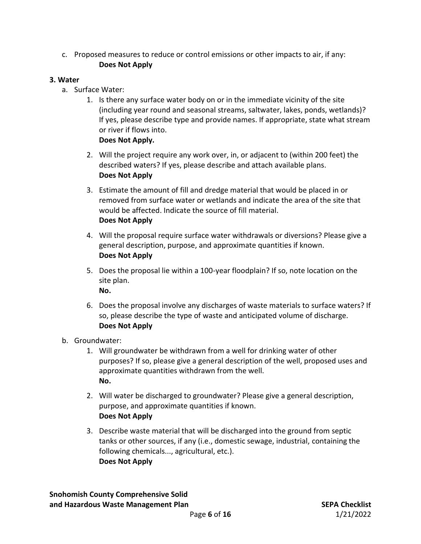c. Proposed measures to reduce or control emissions or other impacts to air, if any: **Does Not Apply**

#### **3. Water**

- a. Surface Water:
	- 1. Is there any surface water body on or in the immediate vicinity of the site (including year round and seasonal streams, saltwater, lakes, ponds, wetlands)? If yes, please describe type and provide names. If appropriate, state what stream or river if flows into.
		- **Does Not Apply.**
	- 2. Will the project require any work over, in, or adjacent to (within 200 feet) the described waters? If yes, please describe and attach available plans. **Does Not Apply**
	- 3. Estimate the amount of fill and dredge material that would be placed in or removed from surface water or wetlands and indicate the area of the site that would be affected. Indicate the source of fill material. **Does Not Apply**
	- 4. Will the proposal require surface water withdrawals or diversions? Please give a general description, purpose, and approximate quantities if known. **Does Not Apply**
	- 5. Does the proposal lie within a 100-year floodplain? If so, note location on the site plan. **No.**
	- 6. Does the proposal involve any discharges of waste materials to surface waters? If so, please describe the type of waste and anticipated volume of discharge. **Does Not Apply**
- b. Groundwater:
	- 1. Will groundwater be withdrawn from a well for drinking water of other purposes? If so, please give a general description of the well, proposed uses and approximate quantities withdrawn from the well. **No.**
	- 2. Will water be discharged to groundwater? Please give a general description, purpose, and approximate quantities if known. **Does Not Apply**
	- 3. Describe waste material that will be discharged into the ground from septic tanks or other sources, if any (i.e., domestic sewage, industrial, containing the following chemicals..., agricultural, etc.). **Does Not Apply**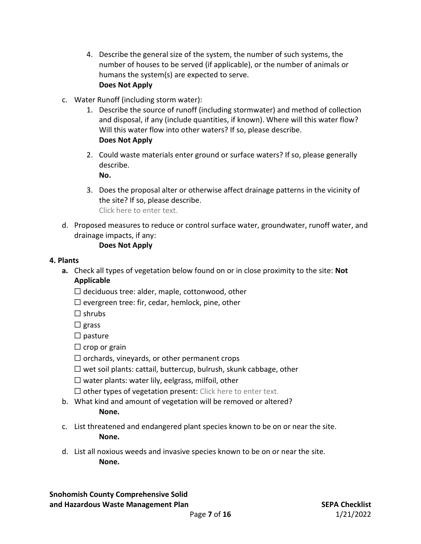- 4. Describe the general size of the system, the number of such systems, the number of houses to be served (if applicable), or the number of animals or humans the system(s) are expected to serve. **Does Not Apply**
- c. Water Runoff (including storm water):
	- 1. Describe the source of runoff (including stormwater) and method of collection and disposal, if any (include quantities, if known). Where will this water flow? Will this water flow into other waters? If so, please describe. **Does Not Apply**
	- 2. Could waste materials enter ground or surface waters? If so, please generally describe. **No.**
	- 3. Does the proposal alter or otherwise affect drainage patterns in the vicinity of the site? If so, please describe. Click here to enter text.
- d. Proposed measures to reduce or control surface water, groundwater, runoff water, and drainage impacts, if any:

#### **Does Not Apply**

#### **4. Plants**

- **a.** Check all types of vegetation below found on or in close proximity to the site: **Not Applicable**
	- $\Box$  deciduous tree: alder, maple, cottonwood, other
	- $\Box$  evergreen tree: fir, cedar, hemlock, pine, other

 $\square$  shrubs

 $\Box$  grass

 $\Box$  pasture

 $\Box$  crop or grain

 $\Box$  orchards, vineyards, or other permanent crops

 $\Box$  wet soil plants: cattail, buttercup, bulrush, skunk cabbage, other

 $\Box$  water plants: water lily, eelgrass, milfoil, other

 $\Box$  other types of vegetation present: Click here to enter text.

- b. What kind and amount of vegetation will be removed or altered? **None.**
- c. List threatened and endangered plant species known to be on or near the site. **None.**
- d. List all noxious weeds and invasive species known to be on or near the site. **None.**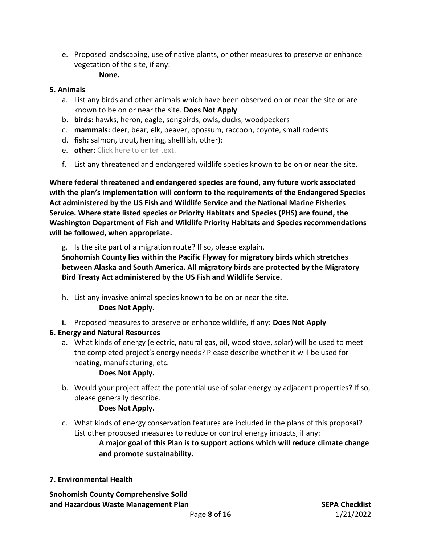e. Proposed landscaping, use of native plants, or other measures to preserve or enhance vegetation of the site, if any:

## **None.**

#### **5. Animals**

- a. List any birds and other animals which have been observed on or near the site or are known to be on or near the site. **Does Not Apply**
- b. **birds:** hawks, heron, eagle, songbirds, owls, ducks, woodpeckers
- c. **mammals:** deer, bear, elk, beaver, opossum, raccoon, coyote, small rodents
- d. **fish:** salmon, trout, herring, shellfish, other):
- e. **other:** Click here to enter text.
- f. List any threatened and endangered wildlife species known to be on or near the site.

**Where federal threatened and endangered species are found, any future work associated with the plan's implementation will conform to the requirements of the Endangered Species Act administered by the US Fish and Wildlife Service and the National Marine Fisheries Service. Where state listed species or Priority Habitats and Species (PHS) are found, the Washington Department of Fish and Wildlife Priority Habitats and Species recommendations will be followed, when appropriate.** 

g. Is the site part of a migration route? If so, please explain.

**Snohomish County lies within the Pacific Flyway for migratory birds which stretches between Alaska and South America. All migratory birds are protected by the Migratory Bird Treaty Act administered by the US Fish and Wildlife Service.** 

- h. List any invasive animal species known to be on or near the site. **Does Not Apply.**
- **i.** Proposed measures to preserve or enhance wildlife, if any: **Does Not Apply**

## **6. Energy and Natural Resources**

a. What kinds of energy (electric, natural gas, oil, wood stove, solar) will be used to meet the completed project's energy needs? Please describe whether it will be used for heating, manufacturing, etc.

#### **Does Not Apply.**

b. Would your project affect the potential use of solar energy by adjacent properties? If so, please generally describe.

## **Does Not Apply.**

c. What kinds of energy conservation features are included in the plans of this proposal? List other proposed measures to reduce or control energy impacts, if any:

> **A major goal of this Plan is to support actions which will reduce climate change and promote sustainability.**

## **7. Environmental Health**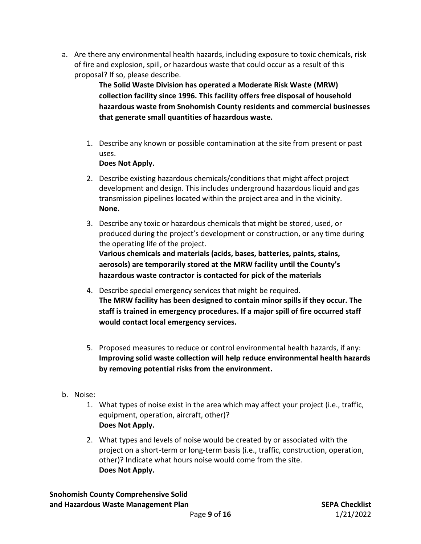a. Are there any environmental health hazards, including exposure to toxic chemicals, risk of fire and explosion, spill, or hazardous waste that could occur as a result of this proposal? If so, please describe.

> **The Solid Waste Division has operated a Moderate Risk Waste (MRW) collection facility since 1996. This facility offers free disposal of household hazardous waste from Snohomish County residents and commercial businesses that generate small quantities of hazardous waste.**

1. Describe any known or possible contamination at the site from present or past uses.

#### **Does Not Apply.**

- 2. Describe existing hazardous chemicals/conditions that might affect project development and design. This includes underground hazardous liquid and gas transmission pipelines located within the project area and in the vicinity. **None.**
- 3. Describe any toxic or hazardous chemicals that might be stored, used, or produced during the project's development or construction, or any time during the operating life of the project. **Various chemicals and materials (acids, bases, batteries, paints, stains, aerosols) are temporarily stored at the MRW facility until the County's hazardous waste contractor is contacted for pick of the materials**
- 4. Describe special emergency services that might be required. **The MRW facility has been designed to contain minor spills if they occur. The staff is trained in emergency procedures. If a major spill of fire occurred staff would contact local emergency services.**
- 5. Proposed measures to reduce or control environmental health hazards, if any: **Improving solid waste collection will help reduce environmental health hazards by removing potential risks from the environment.**
- b. Noise:
	- 1. What types of noise exist in the area which may affect your project (i.e., traffic, equipment, operation, aircraft, other)? **Does Not Apply.**
	- 2. What types and levels of noise would be created by or associated with the project on a short-term or long-term basis (i.e., traffic, construction, operation, other)? Indicate what hours noise would come from the site. **Does Not Apply.**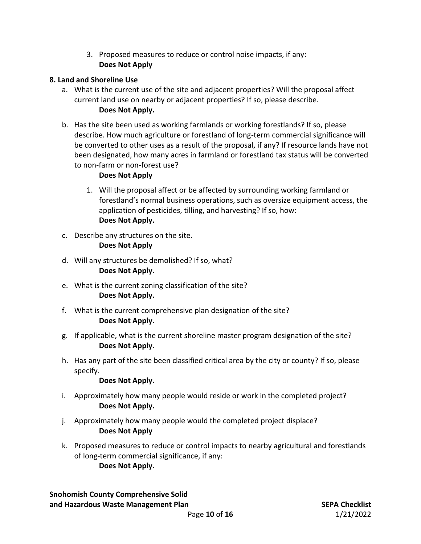3. Proposed measures to reduce or control noise impacts, if any: **Does Not Apply**

#### **8. Land and Shoreline Use**

- a. What is the current use of the site and adjacent properties? Will the proposal affect current land use on nearby or adjacent properties? If so, please describe. **Does Not Apply.**
- b. Has the site been used as working farmlands or working forestlands? If so, please describe. How much agriculture or forestland of long-term commercial significance will be converted to other uses as a result of the proposal, if any? If resource lands have not been designated, how many acres in farmland or forestland tax status will be converted to non-farm or non-forest use?

#### **Does Not Apply**

- 1. Will the proposal affect or be affected by surrounding working farmland or forestland's normal business operations, such as oversize equipment access, the application of pesticides, tilling, and harvesting? If so, how: **Does Not Apply.**
- c. Describe any structures on the site. **Does Not Apply**
- d. Will any structures be demolished? If so, what? **Does Not Apply.**
- e. What is the current zoning classification of the site? **Does Not Apply.**
- f. What is the current comprehensive plan designation of the site? **Does Not Apply.**
- g. If applicable, what is the current shoreline master program designation of the site? **Does Not Apply.**
- h. Has any part of the site been classified critical area by the city or county? If so, please specify.

#### **Does Not Apply.**

- i. Approximately how many people would reside or work in the completed project? **Does Not Apply.**
- j. Approximately how many people would the completed project displace? **Does Not Apply**
- k. Proposed measures to reduce or control impacts to nearby agricultural and forestlands of long-term commercial significance, if any: **Does Not Apply.**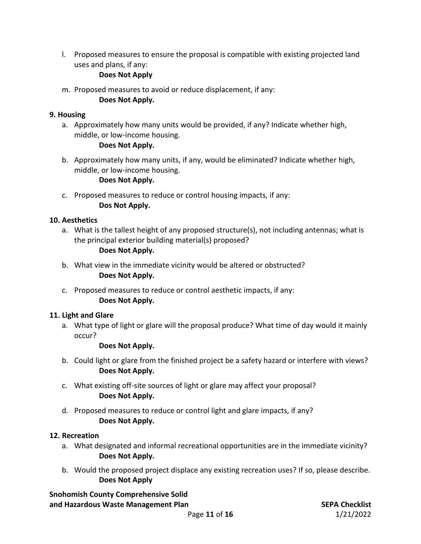l. Proposed measures to ensure the proposal is compatible with existing projected land uses and plans, if any:

#### **Does Not Apply**

m. Proposed measures to avoid or reduce displacement, if any:

#### **Does Not Apply.**

#### **9. Housing**

a. Approximately how many units would be provided, if any? Indicate whether high, middle, or low-income housing.

#### **Does Not Apply.**

b. Approximately how many units, if any, would be eliminated? Indicate whether high, middle, or low-income housing.

#### **Does Not Apply.**

c. Proposed measures to reduce or control housing impacts, if any: **Dos Not Apply.**

#### **10. Aesthetics**

a. What is the tallest height of any proposed structure(s), not including antennas; what is the principal exterior building material(s) proposed?

#### **Does Not Apply.**

- b. What view in the immediate vicinity would be altered or obstructed? **Does Not Apply.**
- c. Proposed measures to reduce or control aesthetic impacts, if any: **Does Not Apply.**

## **11. Light and Glare**

a. What type of light or glare will the proposal produce? What time of day would it mainly occur?

## **Does Not Apply.**

- b. Could light or glare from the finished project be a safety hazard or interfere with views? **Does Not Apply.**
- c. What existing off-site sources of light or glare may affect your proposal? **Does Not Apply.**
- d. Proposed measures to reduce or control light and glare impacts, if any? **Does Not Apply.**

## **12. Recreation**

- a. What designated and informal recreational opportunities are in the immediate vicinity? **Does Not Apply.**
- b. Would the proposed project displace any existing recreation uses? If so, please describe. **Does Not Apply**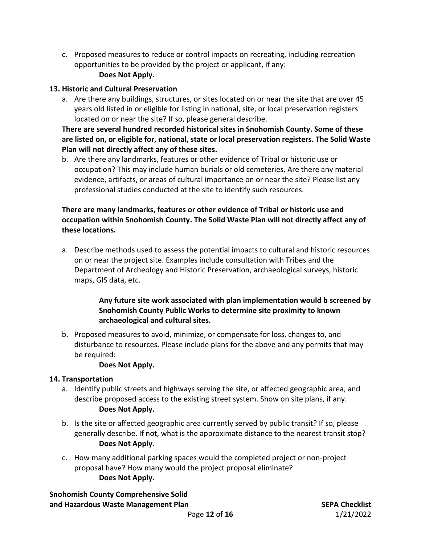c. Proposed measures to reduce or control impacts on recreating, including recreation opportunities to be provided by the project or applicant, if any: **Does Not Apply.**

#### **13. Historic and Cultural Preservation**

a. Are there any buildings, structures, or sites located on or near the site that are over 45 years old listed in or eligible for listing in national, site, or local preservation registers located on or near the site? If so, please general describe.

**There are several hundred recorded historical sites in Snohomish County. Some of these are listed on, or eligible for, national, state or local preservation registers. The Solid Waste Plan will not directly affect any of these sites.**

b. Are there any landmarks, features or other evidence of Tribal or historic use or occupation? This may include human burials or old cemeteries. Are there any material evidence, artifacts, or areas of cultural importance on or near the site? Please list any professional studies conducted at the site to identify such resources.

#### **There are many landmarks, features or other evidence of Tribal or historic use and occupation within Snohomish County. The Solid Waste Plan will not directly affect any of these locations.**

a. Describe methods used to assess the potential impacts to cultural and historic resources on or near the project site. Examples include consultation with Tribes and the Department of Archeology and Historic Preservation, archaeological surveys, historic maps, GIS data, etc.

#### **Any future site work associated with plan implementation would b screened by Snohomish County Public Works to determine site proximity to known archaeological and cultural sites.**

b. Proposed measures to avoid, minimize, or compensate for loss, changes to, and disturbance to resources. Please include plans for the above and any permits that may be required:

#### **Does Not Apply.**

#### **14. Transportation**

- a. Identify public streets and highways serving the site, or affected geographic area, and describe proposed access to the existing street system. Show on site plans, if any. **Does Not Apply.**
- b. Is the site or affected geographic area currently served by public transit? If so, please generally describe. If not, what is the approximate distance to the nearest transit stop? **Does Not Apply.**
- c. How many additional parking spaces would the completed project or non-project proposal have? How many would the project proposal eliminate? **Does Not Apply.**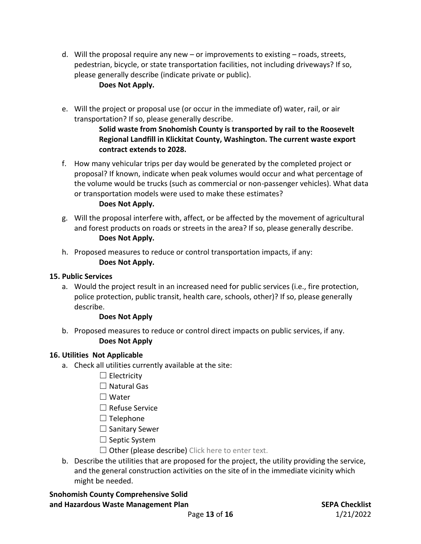d. Will the proposal require any new – or improvements to existing – roads, streets, pedestrian, bicycle, or state transportation facilities, not including driveways? If so, please generally describe (indicate private or public).

#### **Does Not Apply.**

e. Will the project or proposal use (or occur in the immediate of) water, rail, or air transportation? If so, please generally describe.

> **Solid waste from Snohomish County is transported by rail to the Roosevelt Regional Landfill in Klickitat County, Washington. The current waste export contract extends to 2028.**

f. How many vehicular trips per day would be generated by the completed project or proposal? If known, indicate when peak volumes would occur and what percentage of the volume would be trucks (such as commercial or non-passenger vehicles). What data or transportation models were used to make these estimates?

#### **Does Not Apply.**

- g. Will the proposal interfere with, affect, or be affected by the movement of agricultural and forest products on roads or streets in the area? If so, please generally describe. **Does Not Apply.**
- h. Proposed measures to reduce or control transportation impacts, if any: **Does Not Apply.**

#### **15. Public Services**

a. Would the project result in an increased need for public services (i.e., fire protection, police protection, public transit, health care, schools, other)? If so, please generally describe.

#### **Does Not Apply**

b. Proposed measures to reduce or control direct impacts on public services, if any. **Does Not Apply**

#### **16. Utilities Not Applicable**

- a. Check all utilities currently available at the site:
	- $\Box$  Electricity
	- $\Box$  Natural Gas
	- ☐ Water
	- ☐ Refuse Service
	- $\Box$  Telephone
	- ☐ Sanitary Sewer
	- $\Box$  Septic System
	- $\Box$  Other (please describe) Click here to enter text.
- b. Describe the utilities that are proposed for the project, the utility providing the service, and the general construction activities on the site of in the immediate vicinity which might be needed.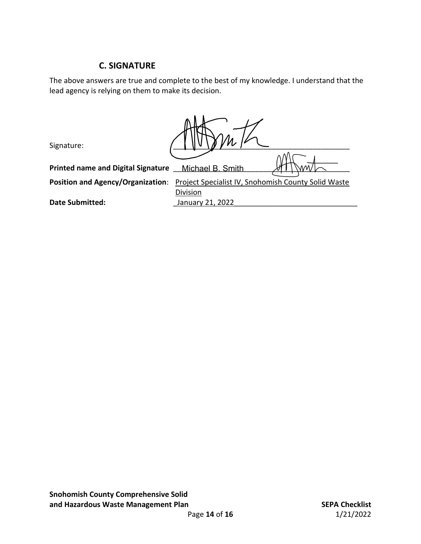## **C. SIGNATURE**

The above answers are true and complete to the best of my knowledge. I understand that the lead agency is relying on them to make its decision.

**Division** 

| Signature:                                |                  |  |
|-------------------------------------------|------------------|--|
| <b>Printed name and Digital Signature</b> | Michael B. Smith |  |
|                                           |                  |  |

Position and Agency/Organization: **Project Specialist IV, Snohomish County Solid Waste** 

**Date Submitted: Date Submitted: Lanuary 21, 2022**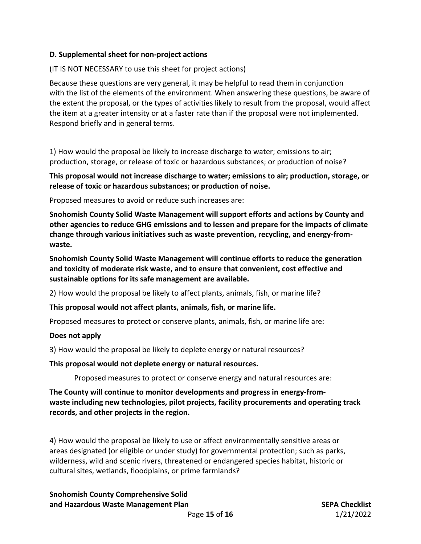#### **D. Supplemental sheet for non-project actions**

#### (IT IS NOT NECESSARY to use this sheet for project actions)

Because these questions are very general, it may be helpful to read them in conjunction with the list of the elements of the environment. When answering these questions, be aware of the extent the proposal, or the types of activities likely to result from the proposal, would affect the item at a greater intensity or at a faster rate than if the proposal were not implemented. Respond briefly and in general terms.

1) How would the proposal be likely to increase discharge to water; emissions to air; production, storage, or release of toxic or hazardous substances; or production of noise?

**This proposal would not increase discharge to water; emissions to air; production, storage, or release of toxic or hazardous substances; or production of noise.**

Proposed measures to avoid or reduce such increases are:

**Snohomish County Solid Waste Management will support efforts and actions by County and other agencies to reduce GHG emissions and to lessen and prepare for the impacts of climate change through various initiatives such as waste prevention, recycling, and energy-fromwaste.** 

**Snohomish County Solid Waste Management will continue efforts to reduce the generation and toxicity of moderate risk waste, and to ensure that convenient, cost effective and sustainable options for its safe management are available.**

2) How would the proposal be likely to affect plants, animals, fish, or marine life?

**This proposal would not affect plants, animals, fish, or marine life.** 

Proposed measures to protect or conserve plants, animals, fish, or marine life are:

#### **Does not apply**

3) How would the proposal be likely to deplete energy or natural resources?

**This proposal would not deplete energy or natural resources.**

Proposed measures to protect or conserve energy and natural resources are:

**The County will continue to monitor developments and progress in energy-fromwaste including new technologies, pilot projects, facility procurements and operating track records, and other projects in the region.**

4) How would the proposal be likely to use or affect environmentally sensitive areas or areas designated (or eligible or under study) for governmental protection; such as parks, wilderness, wild and scenic rivers, threatened or endangered species habitat, historic or cultural sites, wetlands, floodplains, or prime farmlands?